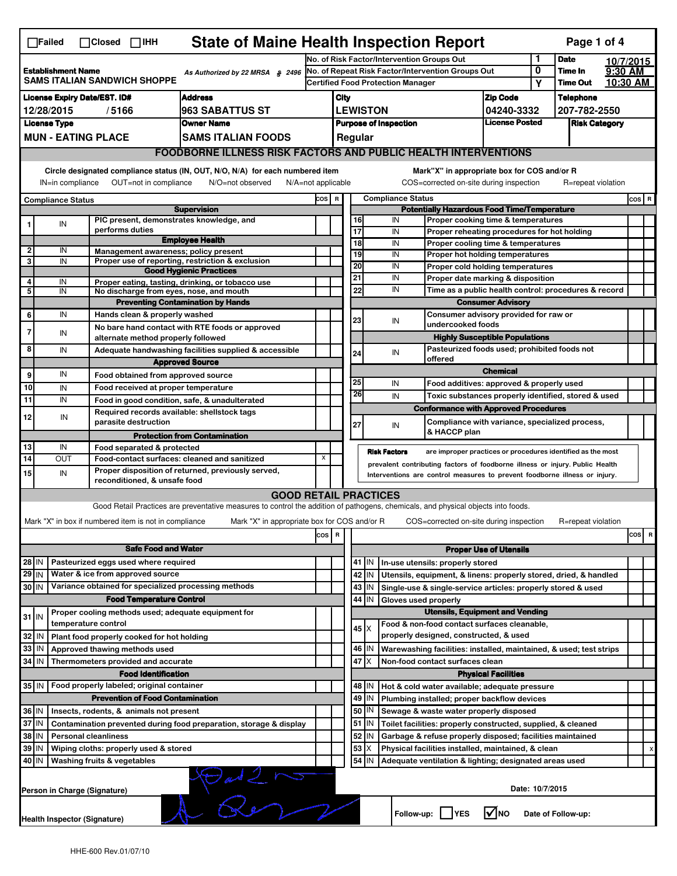| <b>State of Maine Health Inspection Report</b><br>Page 1 of 4<br>$\Box$ Failed<br>$\Box$ Closed $\Box$ IHH                                                                                                                                                                                |                                                                                                                                                                                                                                                       |  |                                                       |                                                                                                                                   |                                                       |                                                    |                                                                              |               |                                                                    |                                                             |                      |                    |           |     |   |
|-------------------------------------------------------------------------------------------------------------------------------------------------------------------------------------------------------------------------------------------------------------------------------------------|-------------------------------------------------------------------------------------------------------------------------------------------------------------------------------------------------------------------------------------------------------|--|-------------------------------------------------------|-----------------------------------------------------------------------------------------------------------------------------------|-------------------------------------------------------|----------------------------------------------------|------------------------------------------------------------------------------|---------------|--------------------------------------------------------------------|-------------------------------------------------------------|----------------------|--------------------|-----------|-----|---|
|                                                                                                                                                                                                                                                                                           |                                                                                                                                                                                                                                                       |  |                                                       |                                                                                                                                   | No. of Risk Factor/Intervention Groups Out            |                                                    |                                                                              |               |                                                                    |                                                             | 1                    | <b>Date</b>        | 10/7/2015 |     |   |
| <b>Establishment Name</b><br>As Authorized by 22 MRSA § 2496                                                                                                                                                                                                                              |                                                                                                                                                                                                                                                       |  |                                                       | No. of Repeat Risk Factor/Intervention Groups Out                                                                                 |                                                       |                                                    |                                                                              |               | 0                                                                  | Time In                                                     | 9:30 AM              |                    |           |     |   |
|                                                                                                                                                                                                                                                                                           | <b>SAMS ITALIAN SANDWICH SHOPPE</b>                                                                                                                                                                                                                   |  |                                                       |                                                                                                                                   |                                                       | <b>Certified Food Protection Manager</b>           |                                                                              |               |                                                                    |                                                             | Υ                    | <b>Time Out</b>    | 10:30 AM  |     |   |
| <b>License Expiry Date/EST. ID#</b><br><b>Address</b>                                                                                                                                                                                                                                     |                                                                                                                                                                                                                                                       |  |                                                       |                                                                                                                                   |                                                       | <b>Zip Code</b><br>City                            |                                                                              |               |                                                                    |                                                             |                      | <b>Telephone</b>   |           |     |   |
| 963 SABATTUS ST<br>12/28/2015<br>/5166                                                                                                                                                                                                                                                    |                                                                                                                                                                                                                                                       |  |                                                       |                                                                                                                                   |                                                       |                                                    | <b>LEWISTON</b>                                                              |               | 04240-3332                                                         |                                                             | 207-782-2550         |                    |           |     |   |
| <b>License Type</b><br><b>Owner Name</b>                                                                                                                                                                                                                                                  |                                                                                                                                                                                                                                                       |  |                                                       |                                                                                                                                   | <b>License Posted</b><br><b>Purpose of Inspection</b> |                                                    |                                                                              |               |                                                                    |                                                             | <b>Risk Category</b> |                    |           |     |   |
| <b>MUN - EATING PLACE</b><br>SAMS ITALIAN FOODS                                                                                                                                                                                                                                           |                                                                                                                                                                                                                                                       |  |                                                       |                                                                                                                                   |                                                       |                                                    | Regular                                                                      |               |                                                                    |                                                             |                      |                    |           |     |   |
|                                                                                                                                                                                                                                                                                           | <b>FOODBORNE ILLNESS RISK FACTORS AND PUBLIC HEALTH INTERVENTIONS</b>                                                                                                                                                                                 |  |                                                       |                                                                                                                                   |                                                       |                                                    |                                                                              |               |                                                                    |                                                             |                      |                    |           |     |   |
| Circle designated compliance status (IN, OUT, N/O, N/A) for each numbered item<br>Mark"X" in appropriate box for COS and/or R<br>OUT=not in compliance<br>COS=corrected on-site during inspection<br>IN=in compliance<br>N/O=not observed<br>$N/A = not$ applicable<br>R=repeat violation |                                                                                                                                                                                                                                                       |  |                                                       |                                                                                                                                   |                                                       |                                                    |                                                                              |               |                                                                    |                                                             |                      |                    |           |     |   |
| <b>Compliance Status</b><br>COS R<br><b>Compliance Status</b>                                                                                                                                                                                                                             |                                                                                                                                                                                                                                                       |  |                                                       |                                                                                                                                   |                                                       |                                                    |                                                                              |               |                                                                    |                                                             | $cos$ R              |                    |           |     |   |
|                                                                                                                                                                                                                                                                                           |                                                                                                                                                                                                                                                       |  |                                                       | <b>Supervision</b>                                                                                                                |                                                       | <b>Potentially Hazardous Food Time/Temperature</b> |                                                                              |               |                                                                    |                                                             |                      |                    |           |     |   |
|                                                                                                                                                                                                                                                                                           | ${\sf IN}$                                                                                                                                                                                                                                            |  | PIC present, demonstrates knowledge, and              |                                                                                                                                   |                                                       |                                                    | 16                                                                           |               | IN<br>Proper cooking time & temperatures                           |                                                             |                      |                    |           |     |   |
|                                                                                                                                                                                                                                                                                           |                                                                                                                                                                                                                                                       |  | performs duties                                       |                                                                                                                                   |                                                       |                                                    | 17                                                                           |               | IN                                                                 | Proper reheating procedures for hot holding                 |                      |                    |           |     |   |
|                                                                                                                                                                                                                                                                                           |                                                                                                                                                                                                                                                       |  |                                                       | <b>Employee Health</b>                                                                                                            |                                                       |                                                    | $\overline{18}$                                                              |               | IN                                                                 | Proper cooling time & temperatures                          |                      |                    |           |     |   |
| 2<br>3                                                                                                                                                                                                                                                                                    | IN<br>IN                                                                                                                                                                                                                                              |  | Management awareness; policy present                  | Proper use of reporting, restriction & exclusion                                                                                  |                                                       |                                                    | 19                                                                           |               | IN                                                                 | Proper hot holding temperatures                             |                      |                    |           |     |   |
|                                                                                                                                                                                                                                                                                           |                                                                                                                                                                                                                                                       |  |                                                       | <b>Good Hygienic Practices</b>                                                                                                    |                                                       |                                                    | 20                                                                           |               | IN                                                                 | Proper cold holding temperatures                            |                      |                    |           |     |   |
| 4                                                                                                                                                                                                                                                                                         | IN                                                                                                                                                                                                                                                    |  |                                                       | Proper eating, tasting, drinking, or tobacco use                                                                                  |                                                       |                                                    | 21                                                                           |               | IN                                                                 | Proper date marking & disposition                           |                      |                    |           |     |   |
| 5                                                                                                                                                                                                                                                                                         | IN                                                                                                                                                                                                                                                    |  | No discharge from eyes, nose, and mouth               |                                                                                                                                   |                                                       |                                                    | 22                                                                           |               | IN                                                                 | Time as a public health control: procedures & record        |                      |                    |           |     |   |
|                                                                                                                                                                                                                                                                                           |                                                                                                                                                                                                                                                       |  |                                                       | <b>Preventing Contamination by Hands</b>                                                                                          |                                                       |                                                    |                                                                              |               |                                                                    | <b>Consumer Advisory</b>                                    |                      |                    |           |     |   |
| 6                                                                                                                                                                                                                                                                                         | IN                                                                                                                                                                                                                                                    |  | Hands clean & properly washed                         |                                                                                                                                   |                                                       |                                                    | 23                                                                           |               | IN                                                                 | Consumer advisory provided for raw or                       |                      |                    |           |     |   |
| $\overline{7}$                                                                                                                                                                                                                                                                            | IN                                                                                                                                                                                                                                                    |  |                                                       | No bare hand contact with RTE foods or approved                                                                                   |                                                       |                                                    |                                                                              |               | undercooked foods                                                  |                                                             |                      |                    |           |     |   |
|                                                                                                                                                                                                                                                                                           |                                                                                                                                                                                                                                                       |  | alternate method properly followed                    |                                                                                                                                   |                                                       |                                                    |                                                                              |               |                                                                    | <b>Highly Susceptible Populations</b>                       |                      |                    |           |     |   |
| 8                                                                                                                                                                                                                                                                                         | IN                                                                                                                                                                                                                                                    |  |                                                       | Adequate handwashing facilities supplied & accessible                                                                             |                                                       |                                                    | 24                                                                           |               | IN<br>offered                                                      | Pasteurized foods used; prohibited foods not                |                      |                    |           |     |   |
|                                                                                                                                                                                                                                                                                           |                                                                                                                                                                                                                                                       |  |                                                       | <b>Approved Source</b>                                                                                                            |                                                       |                                                    |                                                                              |               |                                                                    | <b>Chemical</b>                                             |                      |                    |           |     |   |
| 9                                                                                                                                                                                                                                                                                         | IN                                                                                                                                                                                                                                                    |  | Food obtained from approved source                    |                                                                                                                                   |                                                       |                                                    | 25                                                                           |               | IN                                                                 |                                                             |                      |                    |           |     |   |
| 10                                                                                                                                                                                                                                                                                        | IN                                                                                                                                                                                                                                                    |  | Food received at proper temperature                   |                                                                                                                                   |                                                       |                                                    | 26                                                                           |               |                                                                    | Food additives: approved & properly used                    |                      |                    |           |     |   |
| 11                                                                                                                                                                                                                                                                                        | IN                                                                                                                                                                                                                                                    |  |                                                       | Food in good condition, safe, & unadulterated                                                                                     |                                                       |                                                    |                                                                              |               | IN                                                                 | Toxic substances properly identified, stored & used         |                      |                    |           |     |   |
| 12                                                                                                                                                                                                                                                                                        | IN                                                                                                                                                                                                                                                    |  | Required records available: shellstock tags           |                                                                                                                                   |                                                       |                                                    |                                                                              |               | <b>Conformance with Approved Procedures</b>                        |                                                             |                      |                    |           |     |   |
|                                                                                                                                                                                                                                                                                           |                                                                                                                                                                                                                                                       |  | parasite destruction                                  |                                                                                                                                   |                                                       |                                                    | 27                                                                           |               | IN                                                                 | Compliance with variance, specialized process,              |                      |                    |           |     |   |
|                                                                                                                                                                                                                                                                                           |                                                                                                                                                                                                                                                       |  |                                                       | <b>Protection from Contamination</b>                                                                                              |                                                       |                                                    |                                                                              |               | & HACCP plan                                                       |                                                             |                      |                    |           |     |   |
| 13                                                                                                                                                                                                                                                                                        | IN                                                                                                                                                                                                                                                    |  | Food separated & protected                            |                                                                                                                                   |                                                       |                                                    |                                                                              |               | <b>Risk Factors</b>                                                | are improper practices or procedures identified as the most |                      |                    |           |     |   |
| $\overline{14}$                                                                                                                                                                                                                                                                           | OUT                                                                                                                                                                                                                                                   |  | Food-contact surfaces: cleaned and sanitized          |                                                                                                                                   | X                                                     |                                                    | prevalent contributing factors of foodborne illness or injury. Public Health |               |                                                                    |                                                             |                      |                    |           |     |   |
| 15                                                                                                                                                                                                                                                                                        | IN                                                                                                                                                                                                                                                    |  | reconditioned, & unsafe food                          | Proper disposition of returned, previously served,<br>Interventions are control measures to prevent foodborne illness or injury.  |                                                       |                                                    |                                                                              |               |                                                                    |                                                             |                      |                    |           |     |   |
|                                                                                                                                                                                                                                                                                           |                                                                                                                                                                                                                                                       |  |                                                       |                                                                                                                                   |                                                       |                                                    |                                                                              |               |                                                                    |                                                             |                      |                    |           |     |   |
|                                                                                                                                                                                                                                                                                           |                                                                                                                                                                                                                                                       |  |                                                       | <b>GOOD RETAIL PRACTICES</b>                                                                                                      |                                                       |                                                    |                                                                              |               |                                                                    |                                                             |                      |                    |           |     |   |
|                                                                                                                                                                                                                                                                                           |                                                                                                                                                                                                                                                       |  |                                                       | Good Retail Practices are preventative measures to control the addition of pathogens, chemicals, and physical objects into foods. |                                                       |                                                    |                                                                              |               |                                                                    |                                                             |                      |                    |           |     |   |
|                                                                                                                                                                                                                                                                                           |                                                                                                                                                                                                                                                       |  | Mark "X" in box if numbered item is not in compliance | Mark "X" in appropriate box for COS and/or R                                                                                      |                                                       |                                                    |                                                                              |               | COS=corrected on-site during inspection                            |                                                             |                      | R=repeat violation |           |     |   |
|                                                                                                                                                                                                                                                                                           |                                                                                                                                                                                                                                                       |  |                                                       |                                                                                                                                   | cos                                                   | $\overline{\mathbf{R}}$                            |                                                                              |               |                                                                    |                                                             |                      |                    |           | cos | R |
|                                                                                                                                                                                                                                                                                           | <b>Safe Food and Water</b>                                                                                                                                                                                                                            |  |                                                       |                                                                                                                                   |                                                       |                                                    | <b>Proper Use of Utensils</b>                                                |               |                                                                    |                                                             |                      |                    |           |     |   |
|                                                                                                                                                                                                                                                                                           | Pasteurized eggs used where required<br>$28$ IN                                                                                                                                                                                                       |  |                                                       |                                                                                                                                   |                                                       |                                                    |                                                                              | 41   IN       | In-use utensils: properly stored                                   |                                                             |                      |                    |           |     |   |
| $29$ IN                                                                                                                                                                                                                                                                                   |                                                                                                                                                                                                                                                       |  | Water & ice from approved source                      |                                                                                                                                   |                                                       |                                                    | 42                                                                           | IN            | Utensils, equipment, & linens: properly stored, dried, & handled   |                                                             |                      |                    |           |     |   |
| 30 IN                                                                                                                                                                                                                                                                                     |                                                                                                                                                                                                                                                       |  | Variance obtained for specialized processing methods  |                                                                                                                                   |                                                       |                                                    |                                                                              | 43   IN       | Single-use & single-service articles: properly stored & used       |                                                             |                      |                    |           |     |   |
|                                                                                                                                                                                                                                                                                           |                                                                                                                                                                                                                                                       |  | <b>Food Temperature Control</b>                       |                                                                                                                                   |                                                       |                                                    | 44                                                                           | IN            | Gloves used properly                                               |                                                             |                      |                    |           |     |   |
|                                                                                                                                                                                                                                                                                           |                                                                                                                                                                                                                                                       |  | Proper cooling methods used; adequate equipment for   |                                                                                                                                   |                                                       |                                                    |                                                                              |               | <b>Utensils, Equipment and Vending</b>                             |                                                             |                      |                    |           |     |   |
| $31$ IN                                                                                                                                                                                                                                                                                   |                                                                                                                                                                                                                                                       |  | temperature control                                   |                                                                                                                                   |                                                       |                                                    |                                                                              | $45 \times$   | Food & non-food contact surfaces cleanable,                        |                                                             |                      |                    |           |     |   |
| 32                                                                                                                                                                                                                                                                                        | IN                                                                                                                                                                                                                                                    |  | Plant food properly cooked for hot holding            |                                                                                                                                   |                                                       |                                                    |                                                                              |               | properly designed, constructed, & used                             |                                                             |                      |                    |           |     |   |
| 33                                                                                                                                                                                                                                                                                        | IN                                                                                                                                                                                                                                                    |  | Approved thawing methods used                         |                                                                                                                                   |                                                       |                                                    |                                                                              | 46 IN         | Warewashing facilities: installed, maintained, & used; test strips |                                                             |                      |                    |           |     |   |
| 34                                                                                                                                                                                                                                                                                        | <b>IN</b>                                                                                                                                                                                                                                             |  | Thermometers provided and accurate                    |                                                                                                                                   |                                                       |                                                    |                                                                              | $47$ $\times$ | Non-food contact surfaces clean                                    |                                                             |                      |                    |           |     |   |
|                                                                                                                                                                                                                                                                                           |                                                                                                                                                                                                                                                       |  | <b>Food Identification</b>                            |                                                                                                                                   |                                                       |                                                    |                                                                              |               |                                                                    | <b>Physical Facilities</b>                                  |                      |                    |           |     |   |
|                                                                                                                                                                                                                                                                                           |                                                                                                                                                                                                                                                       |  | 35 IN   Food properly labeled; original container     |                                                                                                                                   |                                                       |                                                    |                                                                              | 48   IN       | Hot & cold water available; adequate pressure                      |                                                             |                      |                    |           |     |   |
|                                                                                                                                                                                                                                                                                           |                                                                                                                                                                                                                                                       |  | <b>Prevention of Food Contamination</b>               |                                                                                                                                   |                                                       |                                                    | 49                                                                           | IN            | Plumbing installed; proper backflow devices                        |                                                             |                      |                    |           |     |   |
|                                                                                                                                                                                                                                                                                           |                                                                                                                                                                                                                                                       |  |                                                       |                                                                                                                                   |                                                       |                                                    | 50                                                                           | IN            |                                                                    |                                                             |                      |                    |           |     |   |
|                                                                                                                                                                                                                                                                                           | 36 IN<br>Insects, rodents, & animals not present<br>Sewage & waste water properly disposed<br>37 IN<br>51<br>Contamination prevented during food preparation, storage & display<br>Toilet facilities: properly constructed, supplied, & cleaned<br>IN |  |                                                       |                                                                                                                                   |                                                       |                                                    |                                                                              |               |                                                                    |                                                             |                      |                    |           |     |   |
| 38                                                                                                                                                                                                                                                                                        |                                                                                                                                                                                                                                                       |  |                                                       |                                                                                                                                   |                                                       |                                                    | 52                                                                           |               |                                                                    |                                                             |                      |                    |           |     |   |
|                                                                                                                                                                                                                                                                                           | IN<br><b>Personal cleanliness</b><br>Garbage & refuse properly disposed; facilities maintained<br>IN                                                                                                                                                  |  |                                                       |                                                                                                                                   |                                                       |                                                    |                                                                              |               |                                                                    |                                                             |                      |                    |           |     |   |
| 53<br>39<br>Wiping cloths: properly used & stored<br>X<br>IN<br>Physical facilities installed, maintained, & clean                                                                                                                                                                        |                                                                                                                                                                                                                                                       |  |                                                       |                                                                                                                                   |                                                       |                                                    |                                                                              |               |                                                                    |                                                             |                      |                    |           |     |   |
| 54<br>40 IN<br>Washing fruits & vegetables<br>Adequate ventilation & lighting; designated areas used<br>IN                                                                                                                                                                                |                                                                                                                                                                                                                                                       |  |                                                       |                                                                                                                                   |                                                       |                                                    |                                                                              |               |                                                                    |                                                             |                      |                    |           |     |   |
| $\frac{1}{\sqrt{2}}$<br>Date: 10/7/2015<br>Person in Charge (Signature)                                                                                                                                                                                                                   |                                                                                                                                                                                                                                                       |  |                                                       |                                                                                                                                   |                                                       |                                                    |                                                                              |               |                                                                    |                                                             |                      |                    |           |     |   |
|                                                                                                                                                                                                                                                                                           | l√lno<br>Follow-up:     YES<br>Date of Follow-up:<br>Health Inspector (Signature)                                                                                                                                                                     |  |                                                       |                                                                                                                                   |                                                       |                                                    |                                                                              |               |                                                                    |                                                             |                      |                    |           |     |   |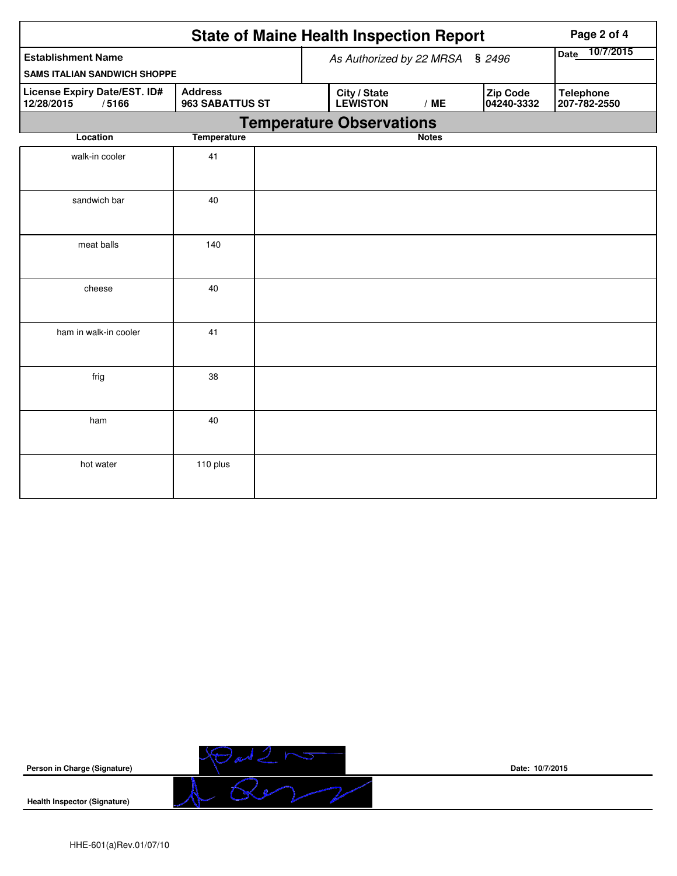|                                                                  | <b>State of Maine Health Inspection Report</b><br>Page 2 of 4 |                                                                                                      |  |  |  |  |  |  |  |  |
|------------------------------------------------------------------|---------------------------------------------------------------|------------------------------------------------------------------------------------------------------|--|--|--|--|--|--|--|--|
| <b>Establishment Name</b><br><b>SAMS ITALIAN SANDWICH SHOPPE</b> |                                                               | 10/7/2015<br>Date<br>As Authorized by 22 MRSA § 2496                                                 |  |  |  |  |  |  |  |  |
| License Expiry Date/EST. ID#<br>12/28/2015<br>/5166              | <b>Address</b><br>963 SABATTUS ST                             | Zip Code<br>City / State<br><b>Telephone</b><br><b>LEWISTON</b><br>04240-3332<br>207-782-2550<br>/ME |  |  |  |  |  |  |  |  |
| <b>Temperature Observations</b>                                  |                                                               |                                                                                                      |  |  |  |  |  |  |  |  |
| Location                                                         | <b>Temperature</b>                                            | <b>Notes</b>                                                                                         |  |  |  |  |  |  |  |  |
| walk-in cooler                                                   | 41                                                            |                                                                                                      |  |  |  |  |  |  |  |  |
| sandwich bar                                                     | 40                                                            |                                                                                                      |  |  |  |  |  |  |  |  |
| meat balls                                                       | 140                                                           |                                                                                                      |  |  |  |  |  |  |  |  |
| cheese                                                           | 40                                                            |                                                                                                      |  |  |  |  |  |  |  |  |
| ham in walk-in cooler                                            | 41                                                            |                                                                                                      |  |  |  |  |  |  |  |  |
| frig                                                             | 38                                                            |                                                                                                      |  |  |  |  |  |  |  |  |
| ham                                                              | 40                                                            |                                                                                                      |  |  |  |  |  |  |  |  |
| hot water                                                        | 110 plus                                                      |                                                                                                      |  |  |  |  |  |  |  |  |



**Date: 10/7/2015**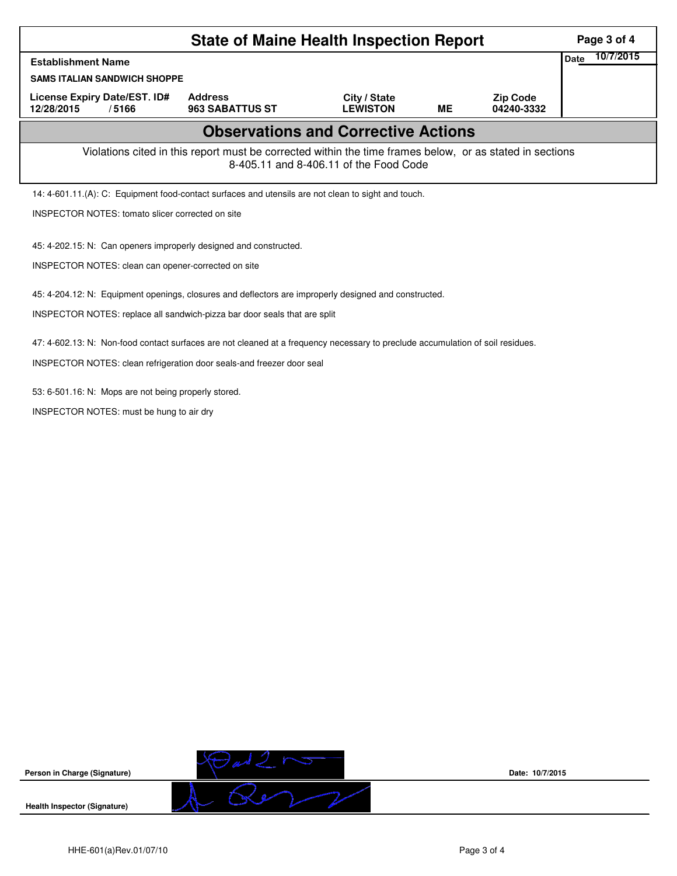| <b>State of Maine Health Inspection Report</b>                                                                                                     |                                   |                                 |           |                               |  |  |  |  |  |
|----------------------------------------------------------------------------------------------------------------------------------------------------|-----------------------------------|---------------------------------|-----------|-------------------------------|--|--|--|--|--|
| <b>Establishment Name</b>                                                                                                                          |                                   |                                 |           |                               |  |  |  |  |  |
| <b>SAMS ITALIAN SANDWICH SHOPPE</b>                                                                                                                |                                   |                                 |           |                               |  |  |  |  |  |
| License Expiry Date/EST. ID#<br>12/28/2015<br>/5166                                                                                                | <b>Address</b><br>963 SABATTUS ST | City / State<br><b>LEWISTON</b> | <b>ME</b> | <b>Zip Code</b><br>04240-3332 |  |  |  |  |  |
| <b>Observations and Corrective Actions</b>                                                                                                         |                                   |                                 |           |                               |  |  |  |  |  |
| Violations cited in this report must be corrected within the time frames below, or as stated in sections<br>8-405.11 and 8-406.11 of the Food Code |                                   |                                 |           |                               |  |  |  |  |  |
| 14: 4-601.11.(A): C: Equipment food-contact surfaces and utensils are not clean to sight and touch.                                                |                                   |                                 |           |                               |  |  |  |  |  |
| <b>INSPECTOR NOTES: tomato slicer corrected on site</b>                                                                                            |                                   |                                 |           |                               |  |  |  |  |  |
| 45: 4-202.15: N: Can openers improperly designed and constructed.<br>INSPECTOR NOTES: clean can opener-corrected on site                           |                                   |                                 |           |                               |  |  |  |  |  |
| 45: 4-204.12: N: Equipment openings, closures and deflectors are improperly designed and constructed.                                              |                                   |                                 |           |                               |  |  |  |  |  |
| INSPECTOR NOTES: replace all sandwich-pizza bar door seals that are split                                                                          |                                   |                                 |           |                               |  |  |  |  |  |
| 47: 4-602.13: N: Non-food contact surfaces are not cleaned at a frequency necessary to preclude accumulation of soil residues.                     |                                   |                                 |           |                               |  |  |  |  |  |
| INSPECTOR NOTES: clean refrigeration door seals-and freezer door seal                                                                              |                                   |                                 |           |                               |  |  |  |  |  |
| 53: 6-501.16: N: Mops are not being properly stored.                                                                                               |                                   |                                 |           |                               |  |  |  |  |  |
| INSPECTOR NOTES: must be hung to air dry                                                                                                           |                                   |                                 |           |                               |  |  |  |  |  |
|                                                                                                                                                    |                                   |                                 |           |                               |  |  |  |  |  |



**Date: 10/7/2015**

HHE-601(a)Rev.01/07/10 Page 3 of 4